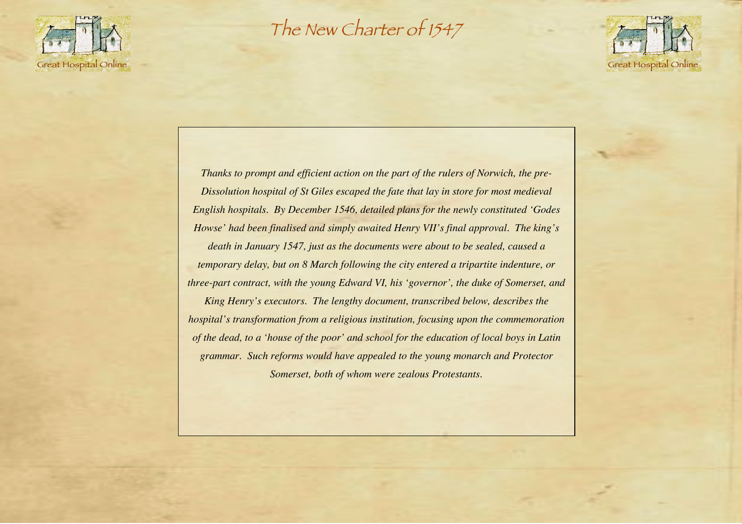

The New Charter of 1547



*Thanks to prompt and efficient action on the part of the rulers of Norwich, the pre-Dissolution hospital of St Giles escaped the fate that lay in store for most medieval English hospitals. By December 1546, detailed plans for the newly constituted 'Godes Howse' had been finalised and simply awaited Henry VII's final approval. The king's death in January 1547, just as the documents were about to be sealed, caused a temporary delay, but on 8 March following the city entered a tripartite indenture, or three-part contract, with the young Edward VI, his 'governor', the duke of Somerset, and* 

*King Henry's executors. The lengthy document, transcribed below, describes the hospital's transformation from a religious institution, focusing upon the commemoration of the dead, to a 'house of the poor' and school for the education of local boys in Latin grammar. Such reforms would have appealed to the young monarch and Protector Somerset, both of whom were zealous Protestants.*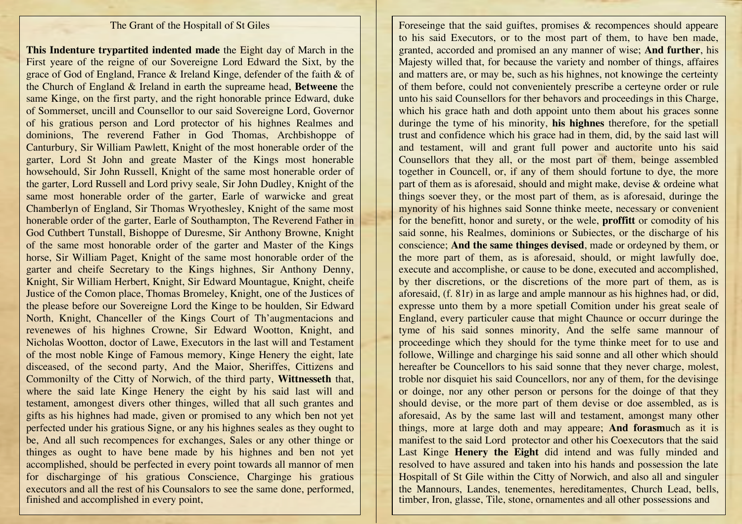## The Grant of the Hospitall of St Giles

**This Indenture trypartited indented made** the Eight day of March in the First yeare of the reigne of our Sovereigne Lord Edward the Sixt, by the grace of God of England, France & Ireland Kinge, defender of the faith & of the Church of England & Ireland in earth the supreame head, **Betweene** the same Kinge, on the first party, and the right honorable prince Edward, duke of Sommerset, uncill and Counsellor to our said Sovereigne Lord, Governor of his gratious person and Lord protector of his highnes Realmes and dominions, The reverend Father in God Thomas, Archbishoppe of Canturbury, Sir William Pawlett, Knight of the most honerable order of the garter, Lord St John and greate Master of the Kings most honerable howsehould, Sir John Russell, Knight of the same most honerable order of the garter, Lord Russell and Lord privy seale, Sir John Dudley, Knight of the same most honerable order of the garter, Earle of warwicke and great Chamberlyn of England, Sir Thomas Wryothesley, Knight of the same most honerable order of the garter, Earle of Southampton, The Reverend Father in God Cuthbert Tunstall, Bishoppe of Duresme, Sir Anthony Browne, Knight of the same most honorable order of the garter and Master of the Kings horse, Sir William Paget, Knight of the same most honorable order of the garter and cheife Secretary to the Kings highnes, Sir Anthony Denny, Knight, Sir William Herbert, Knight, Sir Edward Mountague, Knight, cheife Justice of the Comon place, Thomas Bromeley, Knight, one of the Justices of the please before our Sovereigne Lord the Kinge to be houlden, Sir Edward North, Knight, Chanceller of the Kings Court of Th'augmentacions and revenewes of his highnes Crowne, Sir Edward Wootton, Knight, and Nicholas Wootton, doctor of Lawe, Executors in the last will and Testament of the most noble Kinge of Famous memory, Kinge Henery the eight, late disceased, of the second party, And the Maior, Sheriffes, Cittizens and Commonilty of the Citty of Norwich, of the third party, **Wittnesseth** that, where the said late Kinge Henery the eight by his said last will and testament, amongest divers other thinges, willed that all such grantes and gifts as his highnes had made, given or promised to any which ben not yet perfected under his gratious Signe, or any his highnes seales as they ought to be, And all such recompences for exchanges, Sales or any other thinge or thinges as ought to have bene made by his highnes and ben not yet accomplished, should be perfected in every point towards all mannor of men for discharginge of his gratious Conscience, Charginge his gratious executors and all the rest of his Counsalors to see the same done, performed, finished and accomplished in every point,

Foreseinge that the said guiftes, promises & recompences should appeare to his said Executors, or to the most part of them, to have ben made, granted, accorded and promised an any manner of wise; **And further**, his Majesty willed that, for because the variety and nomber of things, affaires and matters are, or may be, such as his highnes, not knowinge the certeinty of them before, could not convenientely prescribe a certeyne order or rule unto his said Counsellors for ther behavors and proceedings in this Charge, which his grace hath and doth appoint unto them about his graces sonne duringe the tyme of his minority, **his highnes** therefore, for the spetiall trust and confidence which his grace had in them, did, by the said last will and testament, will and grant full power and auctorite unto his said Counsellors that they all, or the most part of them, beinge assembled together in Councell, or, if any of them should fortune to dye, the more part of them as is aforesaid, should and might make, devise & ordeine what things soever they, or the most part of them, as is aforesaid, duringe the mynority of his highnes said Sonne thinke meete, necessary or convenient for the benefitt, honor and surety, or the wele, **proffitt** or comodity of his said sonne, his Realmes, dominions or Subiectes, or the discharge of his conscience; **And the same thinges devised**, made or ordeyned by them, or the more part of them, as is aforesaid, should, or might lawfully doe, execute and accomplishe, or cause to be done, executed and accomplished, by ther discretions, or the discretions of the more part of them, as is aforesaid, (f. 81r) in as large and ample mannour as his highnes had, or did, expresse unto them by a more spetiall Comition under his great seale of England, every particuler cause that might Chaunce or occurr duringe the tyme of his said sonnes minority, And the selfe same mannour of proceedinge which they should for the tyme thinke meet for to use and followe, Willinge and charginge his said sonne and all other which should hereafter be Councellors to his said sonne that they never charge, molest, troble nor disquiet his said Councellors, nor any of them, for the devisinge or doinge, nor any other person or persons for the doinge of that they should devise, or the more part of them devise or doe assembled, as is aforesaid, As by the same last will and testament, amongst many other things, more at large doth and may appeare; **And forasm**uch as it is manifest to the said Lord protector and other his Coexecutors that the said Last Kinge **Henery the Eight** did intend and was fully minded and resolved to have assured and taken into his hands and possession the late Hospitall of St Gile within the Citty of Norwich, and also all and singuler the Mannours, Landes, tenementes, hereditamentes, Church Lead, bells, timber, Iron, glasse, Tile, stone, ornamentes and all other possessions and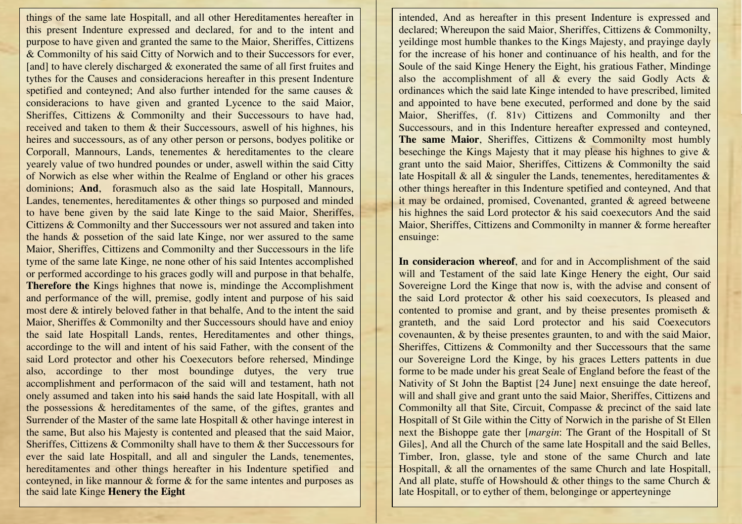things of the same late Hospitall, and all other Hereditamentes hereafter in this present Indenture expressed and declared, for and to the intent and purpose to have given and granted the same to the Maior, Sheriffes, Cittizens & Commonilty of his said Citty of Norwich and to their Successors for ever, [and] to have clerely discharged  $&$  exonerated the same of all first fruites and tythes for the Causes and consideracions hereafter in this present Indenture spetified and conteyned; And also further intended for the same causes & consideracions to have given and granted Lycence to the said Maior, Sheriffes, Cittizens & Commonilty and their Successours to have had, received and taken to them & their Successours, aswell of his highnes, his heires and successours, as of any other person or persons, bodyes politike or Corporall, Mannours, Lands, tenementes & hereditamentes to the cleare yearely value of two hundred poundes or under, aswell within the said Citty of Norwich as else wher within the Realme of England or other his graces dominions; **And**, forasmuch also as the said late Hospitall, Mannours, Landes, tenementes, hereditamentes & other things so purposed and minded to have bene given by the said late Kinge to the said Maior, Sheriffes, Cittizens & Commonilty and ther Successours wer not assured and taken into the hands & possetion of the said late Kinge, nor wer assured to the same Maior, Sheriffes, Cittizens and Commonilty and ther Successours in the life tyme of the same late Kinge, ne none other of his said Intentes accomplished or performed accordinge to his graces godly will and purpose in that behalfe, **Therefore the** Kings highnes that nowe is, mindinge the Accomplishment and performance of the will, premise, godly intent and purpose of his said most dere & intirely beloved father in that behalfe, And to the intent the said Maior, Sheriffes & Commonilty and ther Successours should have and enioy the said late Hospitall Lands, rentes, Hereditamentes and other things, accordinge to the will and intent of his said Father, with the consent of the said Lord protector and other his Coexecutors before rehersed, Mindinge also, accordinge to ther most boundinge dutyes, the very true accomplishment and performacon of the said will and testament, hath not onely assumed and taken into his said hands the said late Hospitall, with all the possessions & hereditamentes of the same, of the giftes, grantes and Surrender of the Master of the same late Hospitall & other havinge interest in the same, But also his Majesty is contented and pleased that the said Maior, Sheriffes, Cittizens & Commonilty shall have to them & ther Successours for ever the said late Hospitall, and all and singuler the Lands, tenementes, hereditamentes and other things hereafter in his Indenture spetified and conteyned, in like mannour & forme & for the same intentes and purposes as the said late Kinge **Henery the Eight**

intended, And as hereafter in this present Indenture is expressed and declared; Whereupon the said Maior, Sheriffes, Cittizens & Commonilty, yeildinge most humble thankes to the Kings Majesty, and prayinge dayly for the increase of his honer and continuance of his health, and for the Soule of the said Kinge Henery the Eight, his gratious Father, Mindinge also the accomplishment of all & every the said Godly Acts & ordinances which the said late Kinge intended to have prescribed, limited and appointed to have bene executed, performed and done by the said Maior, Sheriffes, (f. 81v) Cittizens and Commonilty and ther Successours, and in this Indenture hereafter expressed and conteyned, **The same Maior**, Sheriffes, Cittizens & Commonilty most humbly besechinge the Kings Majesty that it may please his highnes to give & grant unto the said Maior, Sheriffes, Cittizens & Commonilty the said late Hospitall  $\&$  all  $\&$  singuler the Lands, tenementes, hereditamentes  $\&$ other things hereafter in this Indenture spetified and conteyned, And that it may be ordained, promised, Covenanted, granted & agreed betweene his highnes the said Lord protector & his said coexecutors And the said Maior, Sheriffes, Cittizens and Commonilty in manner & forme hereafter ensuinge:

**In consideracion whereof**, and for and in Accomplishment of the said will and Testament of the said late Kinge Henery the eight, Our said Sovereigne Lord the Kinge that now is, with the advise and consent of the said Lord protector & other his said coexecutors, Is pleased and contented to promise and grant, and by theise presentes promiseth & granteth, and the said Lord protector and his said Coexecutors covenaunten, & by theise presentes graunten, to and with the said Maior, Sheriffes, Cittizens & Commonilty and ther Successours that the same our Sovereigne Lord the Kinge, by his graces Letters pattents in due forme to be made under his great Seale of England before the feast of the Nativity of St John the Baptist [24 June] next ensuinge the date hereof, will and shall give and grant unto the said Maior, Sheriffes, Cittizens and Commonilty all that Site, Circuit, Compasse & precinct of the said late Hospitall of St Gile within the Citty of Norwich in the parishe of St Ellen next the Bishoppe gate ther [*margin*: The Grant of the Hospitall of St Giles], And all the Church of the same late Hospitall and the said Belles, Timber, Iron, glasse, tyle and stone of the same Church and late Hospitall, & all the ornamentes of the same Church and late Hospitall, And all plate, stuffe of Howshould & other things to the same Church & late Hospitall, or to eyther of them, belonginge or apperteyninge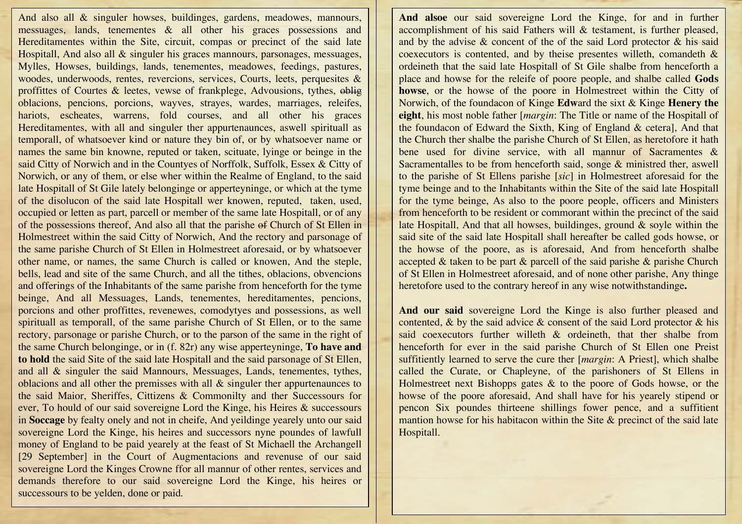And also all & singuler howses, buildinges, gardens, meadowes, mannours, messuages, lands, tenementes & all other his graces possessions and Hereditamentes within the Site, circuit, compas or precinct of the said late Hospitall, And also all & singuler his graces mannours, parsonages, messuages, Mylles, Howses, buildings, lands, tenementes, meadowes, feedings, pastures, woodes, underwoods, rentes, revercions, services, Courts, leets, perquesites & proffittes of Courtes & leetes, vewse of frankplege, Advousions, tythes, oblig oblacions, pencions, porcions, wayves, strayes, wardes, marriages, releifes, hariots, escheates, warrens, fold courses, and all other his graces Hereditamentes, with all and singuler ther appurtenaunces, aswell spirituall as temporall, of whatsoever kind or nature they bin of, or by whatsoever name or names the same bin knowne, reputed or taken, scituate, lyinge or beinge in the said Citty of Norwich and in the Countyes of Norffolk, Suffolk, Essex & Citty of Norwich, or any of them, or else wher within the Realme of England, to the said late Hospitall of St Gile lately belonginge or apperteyninge, or which at the tyme of the disolucon of the said late Hospitall wer knowen, reputed, taken, used, occupied or letten as part, parcell or member of the same late Hospitall, or of any of the possessions thereof, And also all that the parishe of Church of St Ellen in Holmestreet within the said Citty of Norwich, And the rectory and parsonage of the same parishe Church of St Ellen in Holmestreet aforesaid, or by whatsoever other name, or names, the same Church is called or knowen, And the steple, bells, lead and site of the same Church, and all the tithes, oblacions, obvencions and offerings of the Inhabitants of the same parishe from henceforth for the tyme beinge, And all Messuages, Lands, tenementes, hereditamentes, pencions, porcions and other proffittes, revenewes, comodytyes and possessions, as well spirituall as temporall, of the same parishe Church of St Ellen, or to the same rectory, parsonage or parishe Church, or to the parson of the same in the right of the same Church belonginge, or in (f. 82r) any wise apperteyninge, **To have and to hold** the said Site of the said late Hospitall and the said parsonage of St Ellen, and all & singuler the said Mannours, Messuages, Lands, tenementes, tythes, oblacions and all other the premisses with all & singuler ther appurtenaunces to the said Maior, Sheriffes, Cittizens & Commonilty and ther Successours for ever, To hould of our said sovereigne Lord the Kinge, his Heires & successours in **Soccage** by fealty onely and not in cheife, And yeildinge yearely unto our said sovereigne Lord the Kinge, his heires and successors nyne poundes of lawfull money of England to be paid yearely at the feast of St Michaell the Archangell [29 September] in the Court of Augmentacions and revenuse of our said sovereigne Lord the Kinges Crowne ffor all mannur of other rentes, services and demands therefore to our said sovereigne Lord the Kinge, his heires or successours to be yelden, done or paid.

**And alsoe** our said sovereigne Lord the Kinge, for and in further accomplishment of his said Fathers will & testament, is further pleased, and by the advise  $\&$  concent of the of the said Lord protector  $\&$  his said coexecutors is contented, and by theise presentes willeth, comandeth & ordeineth that the said late Hospitall of St Gile shalbe from henceforth a place and howse for the releife of poore people, and shalbe called **Gods howse**, or the howse of the poore in Holmestreet within the Citty of Norwich, of the foundacon of Kinge **Edw**ard the sixt & Kinge **Henery the eight**, his most noble father [*margin*: The Title or name of the Hospitall of the foundacon of Edward the Sixth, King of England & cetera], And that the Church ther shalbe the parishe Church of St Ellen, as heretofore it hath bene used for divine service, with all mannur of Sacramentes & Sacramentalles to be from henceforth said, songe & ministred ther, aswell to the parishe of St Ellens parishe [*sic*] in Holmestreet aforesaid for the tyme beinge and to the Inhabitants within the Site of the said late Hospitall for the tyme beinge, As also to the poore people, officers and Ministers from henceforth to be resident or commorant within the precinct of the said late Hospitall, And that all howses, buildinges, ground  $\&$  soyle within the said site of the said late Hospitall shall hereafter be called gods howse, or the howse of the poore, as is aforesaid, And from henceforth shalbe accepted & taken to be part & parcell of the said parishe & parishe Church of St Ellen in Holmestreet aforesaid, and of none other parishe, Any thinge heretofore used to the contrary hereof in any wise notwithstandinge**.**

**And our said** sovereigne Lord the Kinge is also further pleased and contented,  $\&$  by the said advice  $\&$  consent of the said Lord protector  $\&$  his said coexecutors further willeth & ordeineth, that ther shalbe from henceforth for ever in the said parishe Church of St Ellen one Preist suffitiently learned to serve the cure ther [*margin*: A Priest], which shalbe called the Curate, or Chapleyne, of the parishoners of St Ellens in Holmestreet next Bishopps gates & to the poore of Gods howse, or the howse of the poore aforesaid, And shall have for his yearely stipend or pencon Six poundes thirteene shillings fower pence, and a suffitient mantion howse for his habitacon within the Site & precinct of the said late Hospitall.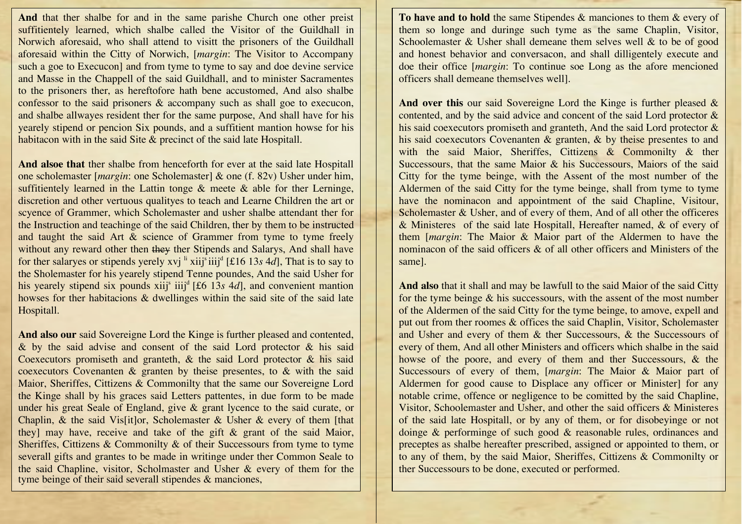**And** that ther shalbe for and in the same parishe Church one other preist suffitientely learned, which shalbe called the Visitor of the Guildhall in Norwich aforesaid, who shall attend to visitt the prisoners of the Guildhall aforesaid within the Citty of Norwich, [*margin*: The Visitor to Accompany such a goe to Execucon] and from tyme to tyme to say and doe devine service and Masse in the Chappell of the said Guildhall, and to minister Sacramentes to the prisoners ther, as hereftofore hath bene accustomed, And also shalbe confessor to the said prisoners & accompany such as shall goe to execucon, and shalbe allwayes resident ther for the same purpose, And shall have for his yearely stipend or pencion Six pounds, and a suffitient mantion howse for his habitacon with in the said Site & precinct of the said late Hospitall.

**And alsoe that** ther shalbe from henceforth for ever at the said late Hospitall one scholemaster [*margin*: one Scholemaster] & one (f. 82v) Usher under him, suffitientely learned in the Lattin tonge & meete & able for ther Lerninge, discretion and other vertuous qualityes to teach and Learne Children the art or scyence of Grammer, which Scholemaster and usher shalbe attendant ther for the Instruction and teachinge of the said Children, ther by them to be instructed and taught the said Art & science of Grammer from tyme to tyme freely without any reward other then they ther Stipends and Salarys, And shall have for ther salaryes or stipends yerely xvj  $^{\text{li}}$  xiij<sup>s</sup>iiij<sup>d</sup> [£16 13*s* 4*d*], That is to say to the Sholemaster for his yearely stipend Tenne poundes, And the said Usher for his yearely stipend six pounds xiij<sup>s</sup> iiij<sup>d</sup> [£6 13s 4d], and convenient mantion howses for ther habitacions & dwellinges within the said site of the said late Hospitall.

**And also our** said Sovereigne Lord the Kinge is further pleased and contented,  $\&$  by the said advise and consent of the said Lord protector  $\&$  his said Coexecutors promiseth and granteth, & the said Lord protector & his said coexecutors Covenanten & granten by theise presentes, to & with the said Maior, Sheriffes, Cittizens & Commonilty that the same our Sovereigne Lord the Kinge shall by his graces said Letters pattentes, in due form to be made under his great Seale of England, give & grant lycence to the said curate, or Chaplin,  $\&$  the said Vis<sup>[it]</sup>or, Scholemaster  $\&$  Usher  $\&$  every of them [that] they] may have, receive and take of the gift & grant of the said Maior, Sheriffes, Cittizens & Commonilty & of their Successours from tyme to tyme severall gifts and grantes to be made in writinge under ther Common Seale to the said Chapline, visitor, Scholmaster and Usher & every of them for the tyme beinge of their said severall stipendes & manciones,

**To have and to hold** the same Stipendes & manciones to them & every of them so longe and duringe such tyme as the same Chaplin, Visitor, Schoolemaster & Usher shall demeane them selves well & to be of good and honest behavior and conversacon, and shall dilligentely execute and doe their office [*margin*: To continue soe Long as the afore mencioned officers shall demeane themselves well].

**And over this** our said Sovereigne Lord the Kinge is further pleased & contented, and by the said advice and concent of the said Lord protector & his said coexecutors promiseth and granteth, And the said Lord protector & his said coexecutors Covenanten & granten, & by theise presentes to and with the said Maior, Sheriffes, Cittizens & Commonilty & ther Successours, that the same Maior & his Successours, Maiors of the said Citty for the tyme beinge, with the Assent of the most number of the Aldermen of the said Citty for the tyme beinge, shall from tyme to tyme have the nominacon and appointment of the said Chapline, Visitour, Scholemaster & Usher, and of every of them, And of all other the officeres & Ministeres of the said late Hospitall, Hereafter named, & of every of them [*margin*: The Maior & Maior part of the Aldermen to have the nominacon of the said officers & of all other officers and Ministers of the same].

**And also** that it shall and may be lawfull to the said Maior of the said Citty for the tyme beinge & his successours, with the assent of the most number of the Aldermen of the said Citty for the tyme beinge, to amove, expell and put out from ther roomes & offices the said Chaplin, Visitor, Scholemaster and Usher and every of them & ther Successours, & the Successours of every of them, And all other Ministers and officers which shalbe in the said howse of the poore, and every of them and ther Successours, & the Successours of every of them, [*margin*: The Maior & Maior part of Aldermen for good cause to Displace any officer or Minister for any notable crime, offence or negligence to be comitted by the said Chapline, Visitor, Schoolemaster and Usher, and other the said officers & Ministeres of the said late Hospitall, or by any of them, or for disobeyinge or not doinge & performinge of such good & reasonable rules, ordinances and preceptes as shalbe hereafter prescribed, assigned or appointed to them, or to any of them, by the said Maior, Sheriffes, Cittizens & Commonilty or ther Successours to be done, executed or performed.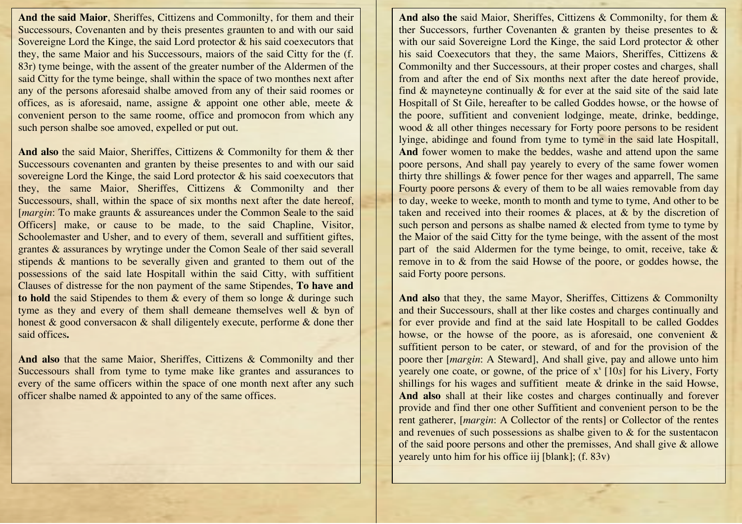**And the said Maior**, Sheriffes, Cittizens and Commonilty, for them and their Successours, Covenanten and by theis presentes graunten to and with our said Sovereigne Lord the Kinge, the said Lord protector & his said coexecutors that they, the same Maior and his Successours, maiors of the said Citty for the (f. 83r) tyme beinge, with the assent of the greater number of the Aldermen of the said Citty for the tyme beinge, shall within the space of two monthes next after any of the persons aforesaid shalbe amoved from any of their said roomes or offices, as is aforesaid, name, assigne  $\&$  appoint one other able, meete  $\&$ convenient person to the same roome, office and promocon from which any such person shalbe soe amoved, expelled or put out.

**And also** the said Maior, Sheriffes, Cittizens & Commonilty for them & ther Successours covenanten and granten by theise presentes to and with our said sovereigne Lord the Kinge, the said Lord protector & his said coexecutors that they, the same Maior, Sheriffes, Cittizens & Commonilty and ther Successours, shall, within the space of six months next after the date hereof, [*margin*: To make graunts & assureances under the Common Seale to the said Officers] make, or cause to be made, to the said Chapline, Visitor, Schoolemaster and Usher, and to every of them, severall and suffitient giftes, grantes & assurances by wrytinge under the Comon Seale of ther said severall stipends & mantions to be severally given and granted to them out of the possessions of the said late Hospitall within the said Citty, with suffitient Clauses of distresse for the non payment of the same Stipendes, **To have and to hold** the said Stipendes to them & every of them so longe & duringe such tyme as they and every of them shall demeane themselves well & byn of honest & good conversacon & shall diligentely execute, performe & done ther said offices**.**

**And also** that the same Maior, Sheriffes, Cittizens & Commonilty and ther Successours shall from tyme to tyme make like grantes and assurances to every of the same officers within the space of one month next after any such officer shalbe named & appointed to any of the same offices.

**And also the** said Maior, Sheriffes, Cittizens & Commonilty, for them & ther Successors, further Covenanten  $\&$  granten by theise presentes to  $\&$ with our said Sovereigne Lord the Kinge, the said Lord protector & other his said Coexecutors that they, the same Maiors, Sheriffes, Cittizens & Commonilty and ther Successours, at their proper costes and charges, shall from and after the end of Six months next after the date hereof provide, find  $\&$  mayneteyne continually  $\&$  for ever at the said site of the said late Hospitall of St Gile, hereafter to be called Goddes howse, or the howse of the poore, suffitient and convenient lodginge, meate, drinke, beddinge, wood & all other thinges necessary for Forty poore persons to be resident lyinge, abidinge and found from tyme to tyme in the said late Hospitall, And fower women to make the beddes, washe and attend upon the same poore persons, And shall pay yearely to every of the same fower women thirty thre shillings & fower pence for ther wages and apparrell, The same Fourty poore persons & every of them to be all waies removable from day to day, weeke to weeke, month to month and tyme to tyme, And other to be taken and received into their roomes & places, at & by the discretion of such person and persons as shalbe named & elected from tyme to tyme by the Maior of the said Citty for the tyme beinge, with the assent of the most part of the said Aldermen for the tyme beinge, to omit, receive, take & remove in to & from the said Howse of the poore, or goddes howse, the said Forty poore persons.

**And also** that they, the same Mayor, Sheriffes, Cittizens & Commonilty and their Successours, shall at ther like costes and charges continually and for ever provide and find at the said late Hospitall to be called Goddes howse, or the howse of the poore, as is aforesaid, one convenient & suffitient person to be cater, or steward, of and for the provision of the poore ther [*margin*: A Steward], And shall give, pay and allowe unto him yearely one coate, or gowne, of the price of  $x^s$  [10 $s$ ] for his Livery, Forty shillings for his wages and suffitient meate & drinke in the said Howse, **And also** shall at their like costes and charges continually and forever provide and find ther one other Suffitient and convenient person to be the rent gatherer, [*margin*: A Collector of the rents] or Collector of the rentes and revenues of such possessions as shalbe given to & for the sustentacon of the said poore persons and other the premisses, And shall give & allowe yearely unto him for his office iij [blank]; (f. 83v)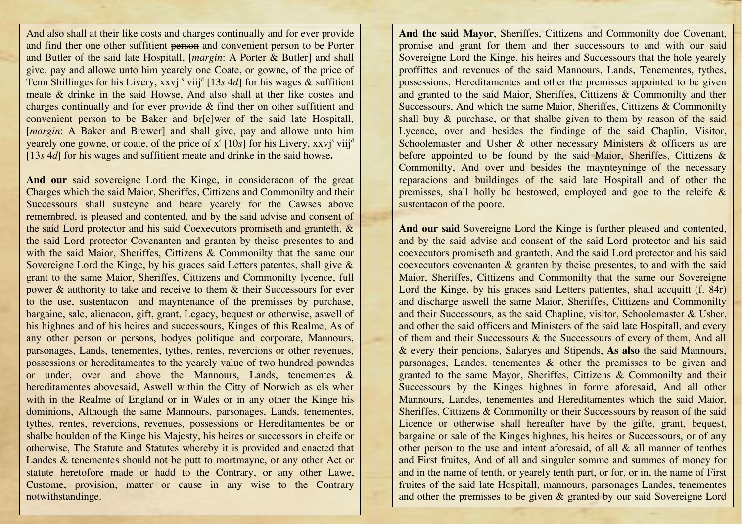And also shall at their like costs and charges continually and for ever provide and find ther one other suffitient person and convenient person to be Porter and Butler of the said late Hospitall, [*margin*: A Porter & Butler] and shall give, pay and allowe unto him yearely one Coate, or gowne, of the price of Tenn Shillinges for his Livery, xxvj <sup>s</sup> viij<sup>d</sup> [13*s* 4*d*] for his wages & suffitient meate & drinke in the said Howse, And also shall at ther like costes and charges continually and for ever provide & find ther on other suffitient and convenient person to be Baker and br[e]wer of the said late Hospitall, [*margin*: A Baker and Brewer] and shall give, pay and allowe unto him yearely one gowne, or coate, of the price of x<sup>s</sup> [10*s*] for his Livery, xxvj<sup>s</sup> viij<sup>d</sup> [13*s* 4*d*] for his wages and suffitient meate and drinke in the said howse**.**

**And our** said sovereigne Lord the Kinge, in consideracon of the great Charges which the said Maior, Sheriffes, Cittizens and Commonilty and their Successours shall susteyne and beare yearely for the Cawses above remembred, is pleased and contented, and by the said advise and consent of the said Lord protector and his said Coexecutors promiseth and granteth, & the said Lord protector Covenanten and granten by theise presentes to and with the said Maior, Sheriffes, Cittizens & Commonilty that the same our Sovereigne Lord the Kinge, by his graces said Letters patentes, shall give & grant to the same Maior, Sheriffes, Cittizens and Commonilty lycence, full power & authority to take and receive to them & their Successours for ever to the use, sustentacon and mayntenance of the premisses by purchase, bargaine, sale, alienacon, gift, grant, Legacy, bequest or otherwise, aswell of his highnes and of his heires and successours, Kinges of this Realme, As of any other person or persons, bodyes politique and corporate, Mannours, parsonages, Lands, tenementes, tythes, rentes, revercions or other revenues, possessions or hereditamentes to the yearely value of two hundred powndes or under, over and above the Mannours, Lands, tenementes & hereditamentes abovesaid, Aswell within the Citty of Norwich as els wher with in the Realme of England or in Wales or in any other the Kinge his dominions, Although the same Mannours, parsonages, Lands, tenementes, tythes, rentes, revercions, revenues, possessions or Hereditamentes be or shalbe houlden of the Kinge his Majesty, his heires or successors in cheife or otherwise, The Statute and Statutes whereby it is provided and enacted that Landes & tenementes should not be putt to mortmayne, or any other Act or statute heretofore made or hadd to the Contrary, or any other Lawe, Custome, provision, matter or cause in any wise to the Contrary notwithstandinge.

**And the said Mayor**, Sheriffes, Cittizens and Commonilty doe Covenant, promise and grant for them and ther successours to and with our said Sovereigne Lord the Kinge, his heires and Successours that the hole yearely proffittes and revenues of the said Mannours, Lands, Tenementes, tythes, possessions, Hereditamentes and other the premisses appointed to be given and granted to the said Maior, Sheriffes, Cittizens & Commonilty and ther Successours, And which the same Maior, Sheriffes, Cittizens & Commonilty shall buy & purchase, or that shalbe given to them by reason of the said Lycence, over and besides the findinge of the said Chaplin, Visitor, Schoolemaster and Usher & other necessary Ministers & officers as are before appointed to be found by the said Maior, Sheriffes, Cittizens & Commonilty, And over and besides the maynteyninge of the necessary reparacions and buildinges of the said late Hospitall and of other the premisses, shall holly be bestowed, employed and goe to the releife & sustentacon of the poore.

**And our said** Sovereigne Lord the Kinge is further pleased and contented, and by the said advise and consent of the said Lord protector and his said coexecutors promiseth and granteth, And the said Lord protector and his said coexecutors covenanten & granten by theise presentes, to and with the said Maior, Sheriffes, Cittizens and Commonilty that the same our Sovereigne Lord the Kinge, by his graces said Letters pattentes, shall accquitt (f. 84r) and discharge aswell the same Maior, Sheriffes, Cittizens and Commonilty and their Successours, as the said Chapline, visitor, Schoolemaster & Usher, and other the said officers and Ministers of the said late Hospitall, and every of them and their Successours & the Successours of every of them, And all & every their pencions, Salaryes and Stipends, **As also** the said Mannours, parsonages, Landes, tenementes & other the premisses to be given and granted to the same Mayor, Sheriffes, Cittizens & Commonilty and their Successours by the Kinges highnes in forme aforesaid, And all other Mannours, Landes, tenementes and Hereditamentes which the said Maior, Sheriffes, Cittizens & Commonilty or their Successours by reason of the said Licence or otherwise shall hereafter have by the gifte, grant, bequest, bargaine or sale of the Kinges highnes, his heires or Successours, or of any other person to the use and intent aforesaid, of all & all manner of tenthes and First fruites, And of all and singuler somme and summes of money for and in the name of tenth, or yearely tenth part, or for, or in, the name of First fruites of the said late Hospitall, mannours, parsonages Landes, tenementes and other the premisses to be given & granted by our said Sovereigne Lord

to the said Maior, Sheriffes, Cittizens & Commonilty and their Successours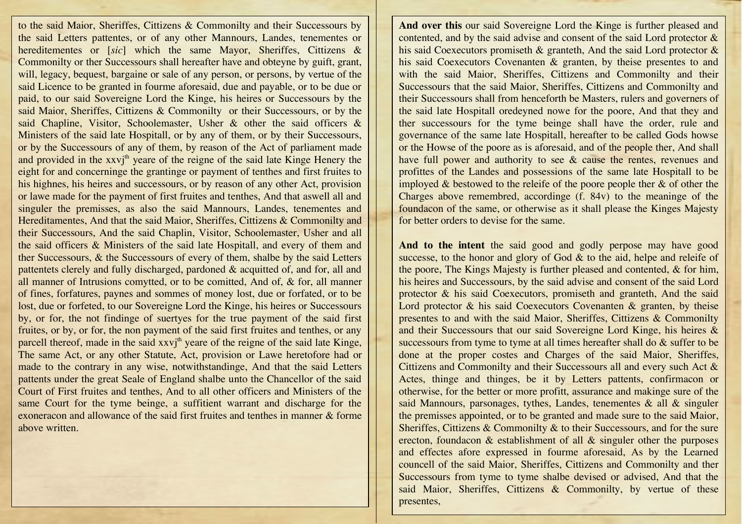to the said Maior, Sheriffes, Cittizens & Commonilty and their Successours by the said Letters pattentes, or of any other Mannours, Landes, tenementes or hereditementes or [*sic*] which the same Mayor, Sheriffes, Cittizens & Commonilty or ther Successours shall hereafter have and obteyne by guift, grant, will, legacy, bequest, bargaine or sale of any person, or persons, by vertue of the said Licence to be granted in fourme aforesaid, due and payable, or to be due or paid, to our said Sovereigne Lord the Kinge, his heires or Successours by the said Maior, Sheriffes, Cittizens & Commonilty or their Successours, or by the said Chapline, Visitor, Schoolemaster, Usher & other the said officers & Ministers of the said late Hospitall, or by any of them, or by their Successours, or by the Successours of any of them, by reason of the Act of parliament made and provided in the xxvj<sup>th</sup> yeare of the reigne of the said late Kinge Henery the eight for and concerninge the grantinge or payment of tenthes and first fruites to his highnes, his heires and successours, or by reason of any other Act, provision or lawe made for the payment of first fruites and tenthes, And that aswell all and singuler the premisses, as also the said Mannours, Landes, tenementes and Hereditamentes, And that the said Maior, Sheriffes, Cittizens & Commonilty and their Successours, And the said Chaplin, Visitor, Schoolemaster, Usher and all the said officers & Ministers of the said late Hospitall, and every of them and ther Successours, & the Successours of every of them, shalbe by the said Letters pattentets clerely and fully discharged, pardoned & acquitted of, and for, all and all manner of Intrusions comytted, or to be comitted, And of, & for, all manner of fines, forfatures, paynes and sommes of money lost, due or forfated, or to be lost, due or forfeted, to our Sovereigne Lord the Kinge, his heires or Successours by, or for, the not findinge of suertyes for the true payment of the said first fruites, or by, or for, the non payment of the said first fruites and tenthes, or any parcell thereof, made in the said  $xxvj<sup>th</sup>$  yeare of the reigne of the said late Kinge, The same Act, or any other Statute, Act, provision or Lawe heretofore had or made to the contrary in any wise, notwithstandinge, And that the said Letters pattents under the great Seale of England shalbe unto the Chancellor of the said Court of First fruites and tenthes, And to all other officers and Ministers of the same Court for the tyme beinge, a suffitient warrant and discharge for the exoneracon and allowance of the said first fruites and tenthes in manner & forme above written.

**And over this** our said Sovereigne Lord the Kinge is further pleased and contented, and by the said advise and consent of the said Lord protector & his said Coexecutors promiseth & granteth, And the said Lord protector & his said Coexecutors Covenanten & granten, by theise presentes to and with the said Maior, Sheriffes, Cittizens and Commonilty and their Successours that the said Maior, Sheriffes, Cittizens and Commonilty and their Successours shall from henceforth be Masters, rulers and governers of the said late Hospitall oredeyned nowe for the poore, And that they and ther successours for the tyme beinge shall have the order, rule and governance of the same late Hospitall, hereafter to be called Gods howse or the Howse of the poore as is aforesaid, and of the people ther, And shall have full power and authority to see & cause the rentes, revenues and profittes of the Landes and possessions of the same late Hospitall to be imployed  $\&$  bestowed to the releife of the poore people ther  $\&$  of other the Charges above remembred, accordinge (f. 84v) to the meaninge of the foundacon of the same, or otherwise as it shall please the Kinges Majesty for better orders to devise for the same.

**And to the intent** the said good and godly perpose may have good successe, to the honor and glory of God  $\&$  to the aid, helpe and releife of the poore, The Kings Majesty is further pleased and contented, & for him, his heires and Successours, by the said advise and consent of the said Lord protector & his said Coexecutors, promiseth and granteth, And the said Lord protector & his said Coexecutors Covenanten & granten, by theise presentes to and with the said Maior, Sheriffes, Cittizens & Commonilty and their Successours that our said Sovereigne Lord Kinge, his heires & successours from tyme to tyme at all times hereafter shall do & suffer to be done at the proper costes and Charges of the said Maior, Sheriffes, Cittizens and Commonilty and their Successours all and every such Act & Actes, thinge and thinges, be it by Letters pattents, confirmacon or otherwise, for the better or more profitt, assurance and makinge sure of the said Mannours, parsonages, tythes, Landes, tenementes  $\&$  all  $\&$  singuler the premisses appointed, or to be granted and made sure to the said Maior, Sheriffes, Cittizens & Commonilty & to their Successours, and for the sure erecton, foundacon  $&$  establishment of all  $&$  singuler other the purposes and effectes afore expressed in fourme aforesaid, As by the Learned councell of the said Maior, Sheriffes, Cittizens and Commonilty and ther Successours from tyme to tyme shalbe devised or advised, And that the said Maior, Sheriffes, Cittizens & Commonilty, by vertue of these presentes,